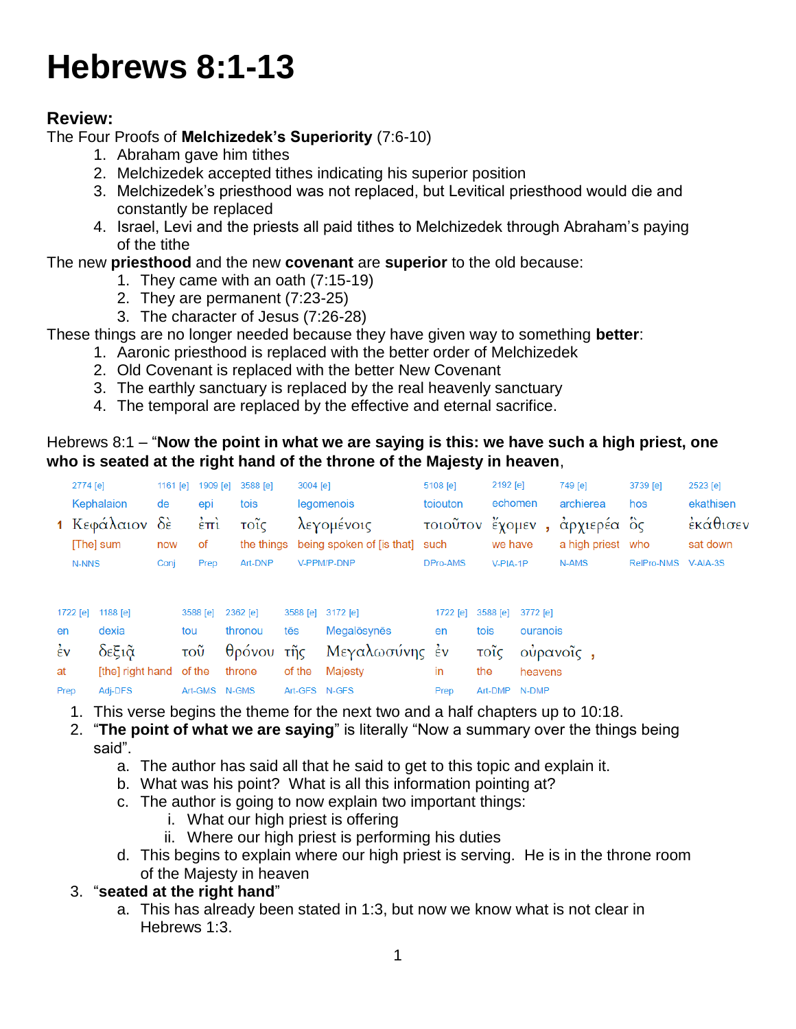# **Hebrews 8:1-13**

# **Review:**

# The Four Proofs of **Melchizedek's Superiority** (7:6-10)

- 1. Abraham gave him tithes
- 2. Melchizedek accepted tithes indicating his superior position
- 3. Melchizedek's priesthood was not replaced, but Levitical priesthood would die and constantly be replaced
- 4. Israel, Levi and the priests all paid tithes to Melchizedek through Abraham's paying of the tithe

# The new **priesthood** and the new **covenant** are **superior** to the old because:

- 1. They came with an oath (7:15-19)
- 2. They are permanent (7:23-25)
- 3. The character of Jesus (7:26-28)

These things are no longer needed because they have given way to something **better**:

- 1. Aaronic priesthood is replaced with the better order of Melchizedek
- 2. Old Covenant is replaced with the better New Covenant
- 3. The earthly sanctuary is replaced by the real heavenly sanctuary
- 4. The temporal are replaced by the effective and eternal sacrifice.

# Hebrews 8:1 – "**Now the point in what we are saying is this: we have such a high priest, one who is seated at the right hand of the throne of the Majesty in heaven**,

|                    | 2774 [e] |                                           | 1161 $[e]$ | 1909 $[e]$                          | 3588 [e]                   | 3004 [e]      |                                                            | 5108 [e]             | 2192 [e]      |                    | 749 [e]                                       | 3739 [e]            | 2523 [e]                          |
|--------------------|----------|-------------------------------------------|------------|-------------------------------------|----------------------------|---------------|------------------------------------------------------------|----------------------|---------------|--------------------|-----------------------------------------------|---------------------|-----------------------------------|
|                    |          | Kephalaion<br>1 Κεφάλαιον δε<br>[The] sum | de<br>now  | epi<br>$\dot{\epsilon}$ $\pi$<br>of | tois<br>τοΐς<br>the things |               | legomenois<br>λεγομένοις<br>being spoken of [is that] such | toiouton<br>τοιοῦτον | we have       | echomen<br>έχομεν, | archierea<br>άρχιερέα ὃς<br>a high priest who | hos                 | ekathisen<br>εκάθισεν<br>sat down |
|                    | N-NNS    |                                           | Conj       | Prep                                | Art-DNP                    |               | V-PPM/P-DNP                                                | DPro-AMS             | $V-PIA-1P$    |                    | N-AMS                                         | RelPro-NMS V-AIA-3S |                                   |
|                    | 1722 [e] | 1188 $[e]$                                |            | 3588 [e]                            | 2362 [e]                   |               | 3588 [e] 3172 [e]                                          | $1722$ [e]           | 3588 [e]      | 3772 [e]           |                                               |                     |                                   |
| en                 |          | dexia                                     |            | tou                                 | thronou                    | tēs           | Megalōsynēs                                                | en                   | tois          | ouranois           |                                               |                     |                                   |
| $\dot{\epsilon}$ v |          | δεξιᾶ                                     |            | $\overline{\mathrm{TOU}}$           | θρόνου τῆς                 |               | Μεγαλωσύνης έν                                             |                      | τοΐς          |                    | ούρανοΐς,                                     |                     |                                   |
| at                 |          | [the] right hand                          |            | of the                              | throne                     | of the        | Majesty                                                    | in                   | the           | heavens            |                                               |                     |                                   |
| Prep               |          | Adj-DFS                                   |            | Art-GMS N-GMS                       |                            | Art-GFS N-GFS |                                                            | Prep                 | Art-DMP N-DMP |                    |                                               |                     |                                   |

- 1. This verse begins the theme for the next two and a half chapters up to 10:18.
- 2. "**The point of what we are saying**" is literally "Now a summary over the things being said".
	- a. The author has said all that he said to get to this topic and explain it.
	- b. What was his point? What is all this information pointing at?
	- c. The author is going to now explain two important things:
		- i. What our high priest is offering
		- ii. Where our high priest is performing his duties
	- d. This begins to explain where our high priest is serving. He is in the throne room of the Majesty in heaven

## 3. "**seated at the right hand**"

a. This has already been stated in 1:3, but now we know what is not clear in Hebrews 1:3.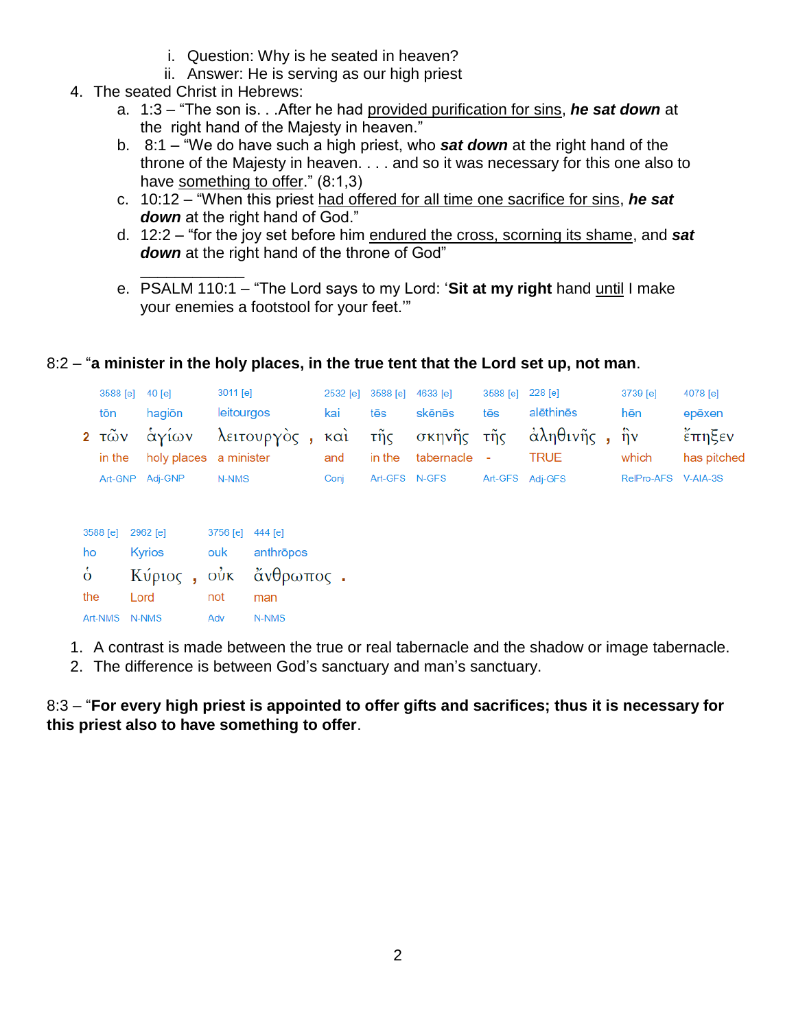- i. Question: Why is he seated in heaven?
- ii. Answer: He is serving as our high priest
- 4. The seated Christ in Hebrews:
	- a. 1:3 "The son is. . .After he had provided purification for sins, *he sat down* at the right hand of the Majesty in heaven."
	- b. 8:1 "We do have such a high priest, who *sat down* at the right hand of the throne of the Majesty in heaven. . . . and so it was necessary for this one also to have something to offer." (8:1,3)
	- c. 10:12 "When this priest had offered for all time one sacrifice for sins, *he sat down* at the right hand of God."
	- d. 12:2 "for the joy set before him endured the cross, scorning its shame, and *sat down* at the right hand of the throne of God"
	- **\_\_\_\_\_\_\_\_\_\_\_\_** e. PSALM 110:1 – "The Lord says to my Lord: '**Sit at my right** hand until I make your enemies a footstool for your feet.'"

## 8:2 – "**a minister in the holy places, in the true tent that the Lord set up, not man**.

| 3588 [e] 40 [e] |                 | 3011 [e]                                                  |      | 2532 [e] 3588 [e] 4633 [e] |                     | 3588 [e] 228 [e] |                 | 3739 [e]            | 4078 [e]    |
|-----------------|-----------------|-----------------------------------------------------------|------|----------------------------|---------------------|------------------|-----------------|---------------------|-------------|
| tōn             | hagiōn          | leitourgos                                                | kai  | tēs                        | skēnēs              | tēs              | alēthinēs       | hēn                 | epēxen      |
|                 |                 | 2 τῶν ἁγίων λειτουργὸς , καὶ τῆς σκηνῆς τῆς ἀληθινῆς , ἡν |      |                            |                     |                  |                 |                     | έπηξεν      |
|                 |                 | in the holy places a minister                             | and  |                            | in the tabernacle - |                  | TRUE            | which               | has pitched |
|                 | Art-GNP Adj-GNP | N-NMS                                                     | Coni |                            | Art-GFS N-GFS       |                  | Art-GFS Adj-GFS | RelPro-AFS V-AIA-3S |             |
|                 |                 |                                                           |      |                            |                     |                  |                 |                     |             |

| 3588 [e] 2962 [e] |        | 3756 [e] 444 [e] |                       |  |
|-------------------|--------|------------------|-----------------------|--|
| ho                | Kyrios |                  | ouk anthropos         |  |
| $\dot{\delta}$    |        |                  | Κύριος, οὐκ ἄνθρωπος. |  |
| the               | Lord   | not              | man                   |  |
| Art-NMS N-NMS     |        | Adv              | N-NMS                 |  |

- 1. A contrast is made between the true or real tabernacle and the shadow or image tabernacle.
- 2. The difference is between God's sanctuary and man's sanctuary.

8:3 – "**For every high priest is appointed to offer gifts and sacrifices; thus it is necessary for this priest also to have something to offer**.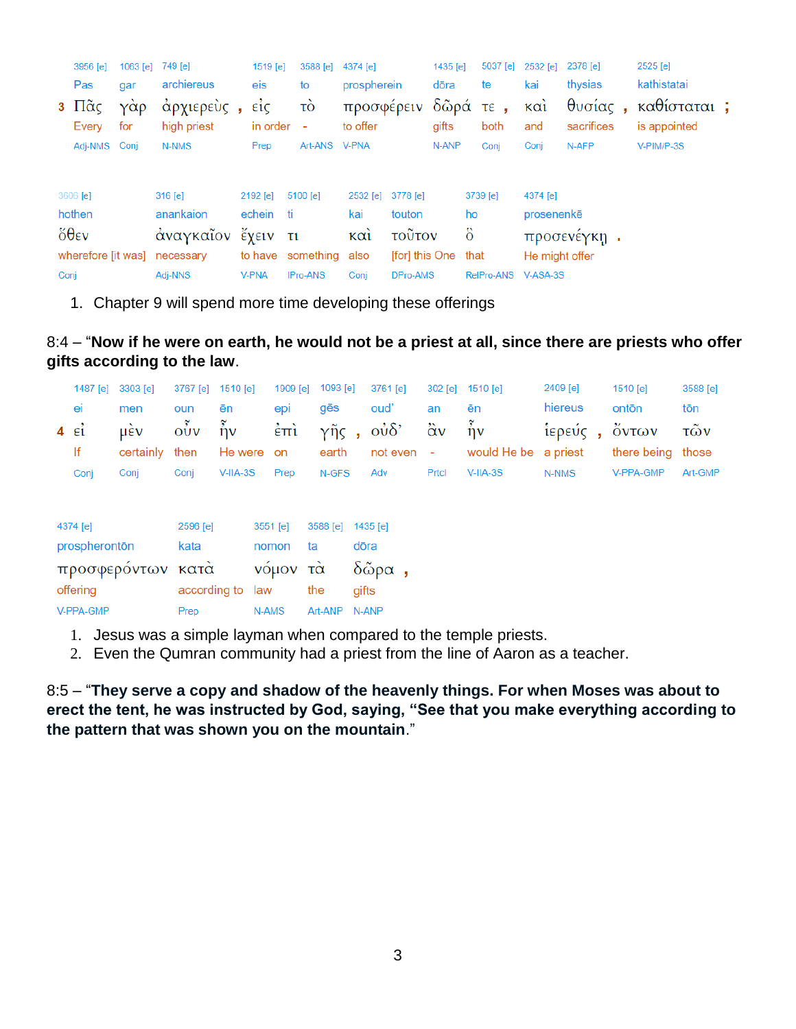|      | 3956 [e]<br>Pas                     | 1063 [e]<br>gar | 749 [e]<br>archiereus    | 1519 [e]<br>eis                 | 3588 [e] 4374 [e]<br>to        | prospherein                     |                     | 1435 $[e]$<br>dōra | 5037 [e]<br>te      | 2532 [e]<br>kai | 2378 [e]<br>thysias | 2525 [e]<br>kathistatai             |  |
|------|-------------------------------------|-----------------|--------------------------|---------------------------------|--------------------------------|---------------------------------|---------------------|--------------------|---------------------|-----------------|---------------------|-------------------------------------|--|
|      | 3 $\Pi$ $\tilde{\alpha}$ ς<br>Every | γάρ<br>for      | άρχιερεὺς<br>high priest | $\vec{\epsilon}$ ic<br>in order | τò<br>$\overline{\phantom{a}}$ | προσφέρειν δῶρά τε,<br>to offer |                     | gifts              | both                | καὶ<br>and      | sacrifices          | θυσίας, καθίσταται;<br>is appointed |  |
|      | Adj-NMS Conj                        |                 | N-NMS                    | Prep                            | Art-ANS V-PNA                  |                                 |                     | N-ANP              | Conj                | Conj            | N-AFP               | $V-PIM/P-3S$                        |  |
|      | 3606 [e]                            |                 | $316$ [e]                | 2192 [e]                        | 5100 [e]                       | 2532 [e]                        | 3778 [e]            |                    | 3739 [e]            | 4374 [e]        |                     |                                     |  |
|      | hothen                              |                 | anankaion                | echein ti                       |                                | kai                             | touton              |                    | ho                  | prosenenke      |                     |                                     |  |
|      | $\delta \theta$ εν                  |                 | άναγκαΐον έχειν τι       |                                 |                                | $K\alpha i$                     | τοῦτον              | $\ddot{\delta}$    |                     |                 | προσενέγκη.         |                                     |  |
|      | wherefore [it was]                  |                 | necessary                |                                 | to have something also         |                                 | [for] this One that |                    |                     | He might offer  |                     |                                     |  |
| Conj |                                     |                 | Adj-NNS                  | <b>V-PNA</b>                    | IPro-ANS                       | Conj                            | DPro-AMS            |                    | RelPro-ANS V-ASA-3S |                 |                     |                                     |  |

1. Chapter 9 will spend more time developing these offerings

8:4 – "**Now if he were on earth, he would not be a priest at all, since there are priests who offer gifts according to the law**.

|                         | 1487 [e]      | 3303 [e]          | 3767 [e]                                 | 1510 lel                 |          | 1909 [e]            | 1093 [e]          |       | 3761 [e]       | $302$ [e]         | 1510 [e]                 | 2409 [e] | 1510 [e]    | 3588 [e] |
|-------------------------|---------------|-------------------|------------------------------------------|--------------------------|----------|---------------------|-------------------|-------|----------------|-------------------|--------------------------|----------|-------------|----------|
|                         | ei            | men               | oun                                      | ēn                       |          | epi                 | gēs               |       | oud'           | an                | ēn                       | hiereus  | ontōn       | tōn      |
| $4 \quad \varepsilon_1$ |               | <b>LIEV</b>       | $\overline{0} \overline{0} \overline{v}$ | $\tilde{\mathfrak{h}}$ ν |          | $\dot{\epsilon}$ πι | γῆς,              |       | $\dot{\delta}$ | $\ddot{\alpha}$ v | $\tilde{\tilde{\eta}}$ v | ίερεύς,  | όντων       | τῶν      |
|                         | lf            | certainly         | then                                     | He were on               |          |                     | earth             |       | not even       | $\blacksquare$    | would He be              | a priest | there being | those    |
|                         | Conj          | Conj              | Conj                                     | $V-IIA-3S$               |          | Prep                | N-GFS             |       | Adv            | Prtcl             | $V$ -IIA-3S              | N-NMS    | V-PPA-GMP   | Art-GMP  |
|                         |               |                   |                                          |                          |          |                     |                   |       |                |                   |                          |          |             |          |
|                         |               |                   |                                          |                          |          |                     |                   |       |                |                   |                          |          |             |          |
|                         | 4374 [e]      |                   | 2596 [e]                                 |                          | 3551 [e] |                     | 3588 [e] 1435 [e] |       |                |                   |                          |          |             |          |
|                         | prospherontōn |                   | kata                                     |                          | nomon    | ta                  |                   | dōra  |                |                   |                          |          |             |          |
|                         |               | προσφερόντων κατά |                                          |                          |          | νόμον τὰ            |                   |       | $δ$ ῶρα,       |                   |                          |          |             |          |
|                         | offering      |                   | according to law                         |                          |          |                     | the               | gifts |                |                   |                          |          |             |          |

N-AMS Art-ANP N-ANP Prep

V-PPA-GMP

- 1. Jesus was a simple layman when compared to the temple priests.
- 2. Even the Qumran community had a priest from the line of Aaron as a teacher.

8:5 – "**They serve a copy and shadow of the heavenly things. For when Moses was about to erect the tent, he was instructed by God, saying, "See that you make everything according to the pattern that was shown you on the mountain**."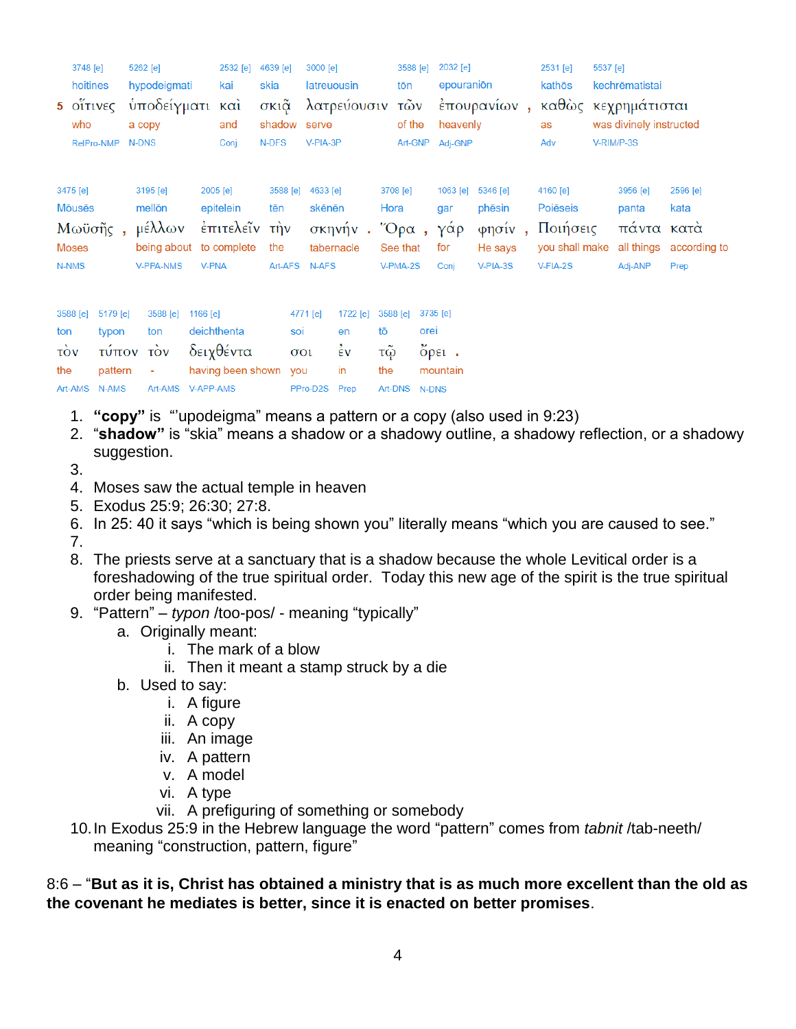|                                                             | 3748 [e]<br>hoitines<br>$5$ $01$ $11$ $11$ $10$ $5$<br>who<br>RelPro-NMP | <b>N-DNS</b> | 5262 [e]<br>hypodeigmati<br>ὑποδείγματι<br>a copy                           |                                | 2532 [e]<br>kai<br>$\kappa$ $\alpha i$<br>and<br>Conj | 4639 [e]<br>skia<br>σκιᾶ<br>shadow<br>N-DFS |                                                 | 3000 [e]<br>latreuousin<br>serve<br>V-PIA-3P     | λατρεύουσιν                                        |                                        | 3588 [e]<br>tōn<br>τῶν<br>of the<br>Art-GNP  |               | 2032 [e]<br>epouranion<br>heavenly<br>Adi-GNP                   | έπουρανίων,                                         | 2531 [e]<br>kathōs<br>as<br>Adv                                | 5537 [e] | kechrēmatistai<br>καθὼς κεχρημάτισται<br>was divinely instructed<br>V-RIM/P-3S |                                          |
|-------------------------------------------------------------|--------------------------------------------------------------------------|--------------|-----------------------------------------------------------------------------|--------------------------------|-------------------------------------------------------|---------------------------------------------|-------------------------------------------------|--------------------------------------------------|----------------------------------------------------|----------------------------------------|----------------------------------------------|---------------|-----------------------------------------------------------------|-----------------------------------------------------|----------------------------------------------------------------|----------|--------------------------------------------------------------------------------|------------------------------------------|
| 3475 [e]<br><b>M</b> ouses<br>Moses<br>N-NMS                | Μωϋσῆς,                                                                  |              | 3195 [e]<br>mellon<br>μέλλων<br>being about to complete<br><b>V-PPA-NMS</b> | <b>V-PNA</b>                   | 2005 [e]<br>epitelein<br>έπιτελεΐν την                | 3588 [e]<br>tēn<br>the<br>Art-AFS           |                                                 | 4633 [e]<br>skēnēn<br>tabernacle<br><b>N-AFS</b> | σκηνήν.                                            | Hora                                   | 3708 [e]<br>$"O$ ρα,<br>See that<br>V-PMA-2S |               | 1063 [e]<br>gar<br>γάρ<br>for<br>Conj                           | 5346 [e]<br>phēsin<br>φησίν,<br>He says<br>V-PIA-3S | 4160 [e]<br>Poiēseis<br>Ποιήσεις<br>you shall make<br>V-FIA-2S |          | 3956 [e]<br>panta<br>πάντα κατά<br>all things<br>Adj-ANP                       | 2596 [e]<br>kata<br>according to<br>Prep |
| 3588 [e]<br>ton<br>$\overrightarrow{TOV}$<br>the<br>Art-AMS | 5179 [e]<br>typon<br>τύπον<br>pattern<br>N-AMS                           |              | 3588 [e]<br>ton<br>$\overrightarrow{cov}$<br>Art-AMS                        | 1166 $[e]$<br><b>V-APP-AMS</b> | deichthenta<br>δειχθέντα<br>having been shown         |                                             | 4771 [e]<br>soi<br>$\sigma$ <sup>o</sup><br>you | PPro-D2S                                         | 1722 [e]<br>en<br>$\dot{\epsilon}$ v<br>in<br>Prep | 3588 [e]<br>tō<br>τῷ<br>the<br>Art-DNS |                                              | orei<br>N-DNS | 3735 [e]<br>$\tilde{O}$ $\rho$ $\epsilon$ $\iota$ .<br>mountain |                                                     |                                                                |          |                                                                                |                                          |

- 1. **"copy"** is "'upodeigma" means a pattern or a copy (also used in 9:23)
- 2. "**shadow"** is "skia" means a shadow or a shadowy outline, a shadowy reflection, or a shadowy suggestion.
- 3.
- 4. Moses saw the actual temple in heaven
- 5. Exodus 25:9; 26:30; 27:8.
- 6. In 25: 40 it says "which is being shown you" literally means "which you are caused to see."
- 7.
- 8. The priests serve at a sanctuary that is a shadow because the whole Levitical order is a foreshadowing of the true spiritual order. Today this new age of the spirit is the true spiritual order being manifested.
- 9. "Pattern" *typon* /too-pos/ meaning "typically"
	- a. Originally meant:
		- i. The mark of a blow
		- ii. Then it meant a stamp struck by a die
	- b. Used to say:
		- i. A figure
		- ii. A copy
		- iii. An image
		- iv. A pattern
		- v. A model
		- vi. A type
		- vii. A prefiguring of something or somebody
- 10.In Exodus 25:9 in the Hebrew language the word "pattern" comes from *tabnit* /tab-neeth/ meaning "construction, pattern, figure"

8:6 – "**But as it is, Christ has obtained a ministry that is as much more excellent than the old as the covenant he mediates is better, since it is enacted on better promises**.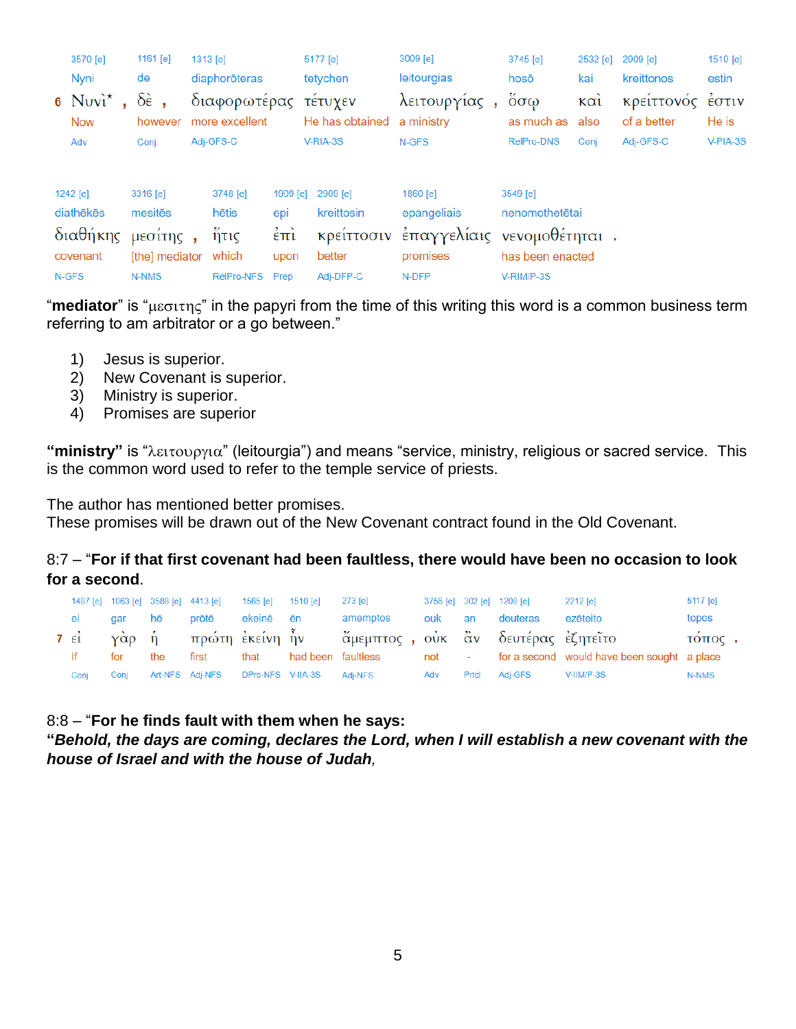|       | 3570 [e]<br>Nyni<br>6 $Nuv^*$ ,<br><b>Now</b><br>Adv | 1161 [e]<br>de<br>$\delta \hat{\epsilon}$ ,<br>however<br>Conj   | $1313$ [e]<br>diaphorōteras<br>διαφορωτέρας<br>more excellent<br>Adj-GFS-C |                                                                    | 5177 [e]<br>tetychen<br>τέτυχεν<br>He has obtained a ministry<br>V-RIA-3S | 3009 [e]<br>leitourgias<br>λειτουργίας,<br>N-GFS                           | 3745 [e]<br>hosō<br>$\ddot{\mathrm{o}}\sigma\omega$<br>as much as<br><b>RelPro-DNS</b> | 2532 [e]<br>kai<br>$\kappa$ $\alpha$<br>also<br>Conj | 2909 [e]<br>kreittonos<br>κρείττονός<br>of a better<br>Adj-GFS-C | 1510 [e]<br>estin<br>έστιν<br>He is<br>V-PIA-3S |
|-------|------------------------------------------------------|------------------------------------------------------------------|----------------------------------------------------------------------------|--------------------------------------------------------------------|---------------------------------------------------------------------------|----------------------------------------------------------------------------|----------------------------------------------------------------------------------------|------------------------------------------------------|------------------------------------------------------------------|-------------------------------------------------|
| N-GFS | 1242 [e]<br>diathēkēs<br>διαθήκης<br>covenant        | 3316 [e]<br>mesitēs<br>μεσίτης,<br>[the] mediator which<br>N-NMS | 3748 [e]<br>hētis<br>ἥτις<br><b>RelPro-NFS</b>                             | 1909 [e]<br>epi<br>$\dot{\epsilon}$ $\pi$ <i>i</i><br>upon<br>Prep | 2909 [e]<br>kreittosin<br>κρείττοσιν<br>better<br>Adj-DFP-C               | 1860 [e]<br>epangeliais<br>έπαγγελίαις νενομοθέτηται.<br>promises<br>N-DFP | 3549 [e]<br>nenomothetētai<br>has been enacted<br>V-RIM/P-3S                           |                                                      |                                                                  |                                                 |

"**mediator**" is "μεσιτης" in the papyri from the time of this writing this word is a common business term referring to am arbitrator or a go between."

- 1) Jesus is superior.
- 2) New Covenant is superior.
- 3) Ministry is superior.
- 4) Promises are superior

"ministry" is " $\lambda \varepsilon \tau \infty$  (leitourgia") and means "service, ministry, religious or sacred service. This is the common word used to refer to the temple service of priests.

The author has mentioned better promises.

These promises will be drawn out of the New Covenant contract found in the Old Covenant.

#### 8:7 – "**For if that first covenant had been faultless, there would have been no occasion to look for a second**.

|      |        |     | 1487 [e] 1063 [e] 3588 [e] 4413 [e] | 1565 [e] 1510 [e] |                                           | 273 [e]                                                       |        |       | 3756 [e] 302 [e] 1208 [e] | 2212 [e]                                          | 5117 [e] |
|------|--------|-----|-------------------------------------|-------------------|-------------------------------------------|---------------------------------------------------------------|--------|-------|---------------------------|---------------------------------------------------|----------|
| ei a | gar hē |     | prōtē                               | ekeinē ēn         |                                           | amemptos                                                      | ouk an |       | deuteras                  | ezēteito                                          | topos    |
|      |        |     |                                     |                   |                                           | 7 εί γὰρ ἡ πρώτη ἐκείνη ἦν άμεμπτος, οὐκ ἂν δευτέρας ἐζητεῖτο |        |       |                           |                                                   | τόπος.   |
| If   | for    | the | first                               | that              |                                           | had been faultless                                            |        |       |                           | not - for a second would have been sought a place |          |
| Coni | Coni   |     |                                     |                   | Art-NFS Adj-NFS DPro-NFS V-IIA-3S Adj-NFS |                                                               | Adv    | Prtcl | Adi-GFS                   | V-IIM/P-3S                                        | N-NMS    |

8:8 – "**For he finds fault with them when he says:** 

**"***Behold, the days are coming, declares the Lord, when I will establish a new covenant with the house of Israel and with the house of Judah,*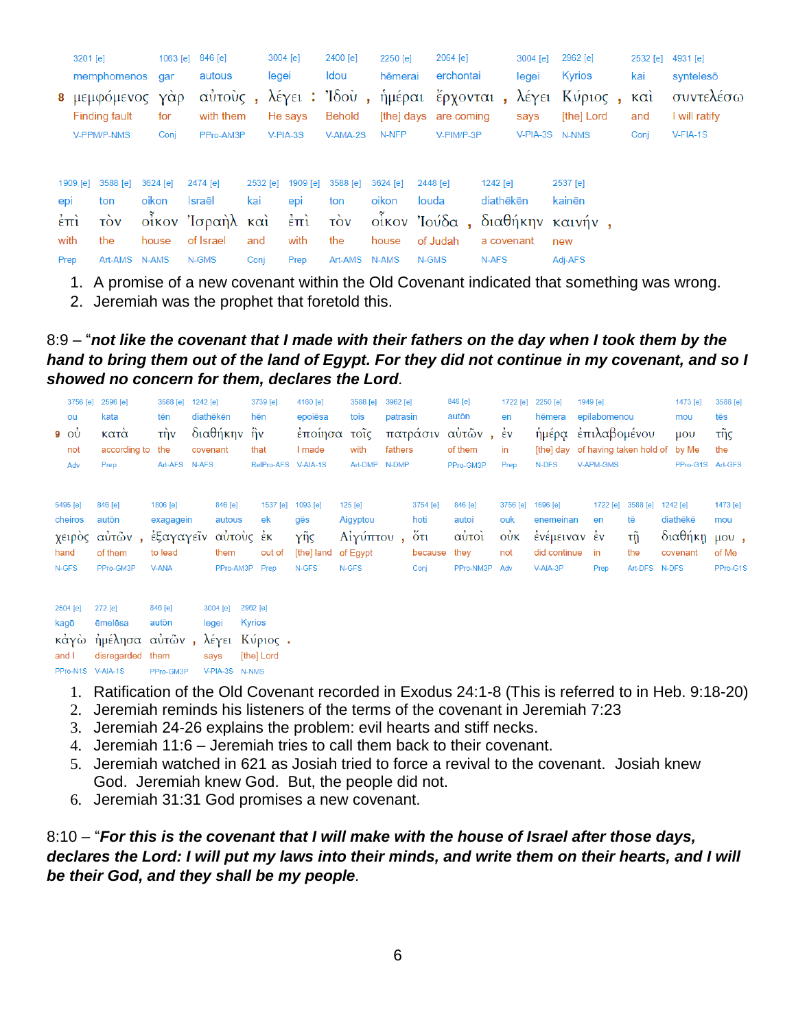|                              | 3201 [e] |                                      |                   |            | 1063 [e] 846 [e]     |                 | 3004 [e] |                 | 2400 [e]                                                     | 2250 [e]              |       | 2064 [e]   |                       | 3004 [e]       |     | 2962 [e]                      | 2532 [e]   | 4931 [e]                   |
|------------------------------|----------|--------------------------------------|-------------------|------------|----------------------|-----------------|----------|-----------------|--------------------------------------------------------------|-----------------------|-------|------------|-----------------------|----------------|-----|-------------------------------|------------|----------------------------|
|                              |          | memphomenos                          |                   | gar        | autous               |                 | legei    |                 | Idou                                                         | hēmerai               |       | erchontai  |                       | legei          |     | Kyrios                        | kai        | syntelesō                  |
|                              |          | 8 μεμφόμενος<br><b>Finding fault</b> |                   | γὰρ<br>for | αὐτοὺς,<br>with them |                 |          | He says         | λέγει: Ίδου, ημέραι έρχονται, λέγει Κύριος,<br><b>Behold</b> | [the] days are coming |       |            |                       | says           |     | [the] Lord                    | καὶ<br>and | συντελέσω<br>I will ratify |
|                              |          | V-PPM/P-NMS                          |                   | Conj       | PPro-AM3P            |                 | V-PIA-3S |                 | V-AMA-2S                                                     | N-NFP                 |       | V-PIM/P-3P |                       | V-PIA-3S N-NMS |     |                               | Conj       | $V-FIA-1S$                 |
| epi                          | 1909 [e] | 3588 [e]<br>ton                      | 3624 [e]<br>oikon |            | 2474 [e]<br>Israēl   | 2532 [e]<br>kai |          | 1909 [e]<br>epi | 3588 [e]<br>ton                                              | 3624 [e]<br>oikon     | louda | 2448 [e]   | 1242 [e]<br>diathēkēn |                |     | 2537 [e]<br>kainēn            |            |                            |
|                              |          | $\overrightarrow{cov}$               |                   |            | οἶκον Ἰσραὴλ καὶ ἐπὶ |                 |          |                 |                                                              |                       |       |            |                       |                |     |                               |            |                            |
| $\dot{\epsilon}$ $\dot{\pi}$ |          |                                      |                   |            |                      |                 |          |                 | $\overrightarrow{cov}$                                       |                       |       |            |                       |                |     | οἶκον Ἰούδα, διαθήκην καινήν, |            |                            |
| with                         |          | the                                  | house             |            | of Israel            | and             |          | with            | the                                                          | house                 |       | of Judah   | a covenant            |                | new |                               |            |                            |
| Prep                         |          | Art-AMS                              | <b>N-AMS</b>      |            | N-GMS                | Conj            |          | Prep            | Art-AMS N-AMS                                                |                       | N-GMS |            | N-AFS                 |                |     | Adj-AFS                       |            |                            |

- 1. A promise of a new covenant within the Old Covenant indicated that something was wrong.
- 2. Jeremiah was the prophet that foretold this.

8:9 – "*not like the covenant that I made with their fathers on the day when I took them by the*  hand to bring them out of the land of Egypt. For they did not continue in my covenant, and so I *showed no concern for them, declares the Lord.*

|       | ou<br>$9\degree$ OV<br>not<br>Adv              | 3756 [e] 2596 [e]<br>kata<br>κατά<br>according to<br>Prep              | 3588 [e] 1242 [e]<br>tēn<br>$\overrightarrow{\text{t}}$<br>the<br>Art-AFS | diathēkēn<br>covenant<br>N-AFS | διαθήκην ἣν                            | 3739 [e]<br>hēn<br>that<br>RelPro-AFS V-AIA-1S | 4160 [e]<br>epoiēsa<br>έποίησα<br>I made      | 3588 [e]<br>tois<br>τοῖς<br>with<br>Art-DMP          | 3962 [e]<br>patrasin<br>fathers<br>N-DMP | πατράσιν                                       | 846 [e]<br>autōn<br>αὐτῶν,<br>of them<br>PPro-GM3P | 1722 [e]<br>en<br>$\frac{2}{5}v$<br>in<br>Prep | 2250 [e]<br>hēmera<br>ἡμέρα<br>[the] day<br>N-DFS                 | 1949 [e]<br>epilabomenou<br>επιλαβομένου<br>of having taken hold of<br>V-APM-GMS |                                        | 1473 [e]<br>mou<br>$\mu$ <sub>O</sub> $\upsilon$<br>by Me<br>PPro-G1S Art-GFS | 3588 [e]<br>tēs<br>τής<br>the        |
|-------|------------------------------------------------|------------------------------------------------------------------------|---------------------------------------------------------------------------|--------------------------------|----------------------------------------|------------------------------------------------|-----------------------------------------------|------------------------------------------------------|------------------------------------------|------------------------------------------------|----------------------------------------------------|------------------------------------------------|-------------------------------------------------------------------|----------------------------------------------------------------------------------|----------------------------------------|-------------------------------------------------------------------------------|--------------------------------------|
|       | 5495 [e]<br>cheiros<br>χειρὸς<br>hand<br>N-GFS | 846 [e]<br>autōn<br>αὐτῶν,<br>of them<br>PPro-GM3P                     | 1806 [e]<br>exagagein<br>έξαγαγεΐν αύτους έκ<br>to lead<br><b>V-ANA</b>   |                                | 846 [e]<br>autous<br>them<br>PPro-AM3P | 1537 [e]<br>ek<br>out of<br>Prep               | 1093 [e]<br>gēs<br>ϒῆς<br>[the] land<br>N-GFS | 125 [e]<br>Aigyptou<br>Αίγύπτου<br>of Egypt<br>N-GFS |                                          | 3754 [e]<br>hoti<br>$5\tau$<br>because<br>Conj | 846 [e]<br>autoi<br>αυτοί<br>they<br>PPro-NM3P Adv | 3756 [e]<br>ouk<br>$\dot{\mathrm{ow}}$<br>not  | 1696 [e]<br>enemeinan<br>ένέμειναν έν<br>did continue<br>V-AIA-3P | 1722 [e]<br>en<br>in<br>Prep                                                     | 3588 [e]<br>tē<br>τñ<br>the<br>Art-DFS | 1242 [e]<br>diathēkē<br>διαθήκη μου,<br>covenant<br>N-DFS                     | 1473 [e]<br>mou<br>of Me<br>PPro-G1S |
| and I | 2504 [e]<br>kagō<br>κάγὼ                       | 272 [e]<br>ēmelēsa<br>ήμέλησα αυτών, λέγει Κύριος.<br>disregarded them | 846 [e]<br>autōn                                                          |                                | 3004 [e]<br>legei<br>says              | 2962 [e]<br><b>Kyrios</b><br>[the] Lord        |                                               |                                                      |                                          |                                                |                                                    |                                                |                                                                   |                                                                                  |                                        |                                                                               |                                      |

- PPro-N1S V-AIA-1S PPro-GM3P V-PIA-3S N-NMS
	- 1. Ratification of the Old Covenant recorded in Exodus 24:1-8 (This is referred to in Heb. 9:18-20)
	- 2. Jeremiah reminds his listeners of the terms of the covenant in Jeremiah 7:23
	- 3. Jeremiah 24-26 explains the problem: evil hearts and stiff necks.
	- 4. Jeremiah 11:6 Jeremiah tries to call them back to their covenant.
	- 5. Jeremiah watched in 621 as Josiah tried to force a revival to the covenant. Josiah knew God. Jeremiah knew God. But, the people did not.
	- 6. Jeremiah 31:31 God promises a new covenant.

## 8:10 – "*For this is the covenant that I will make with the house of Israel after those days, declares the Lord: I will put my laws into their minds, and write them on their hearts, and I will be their God, and they shall be my people.*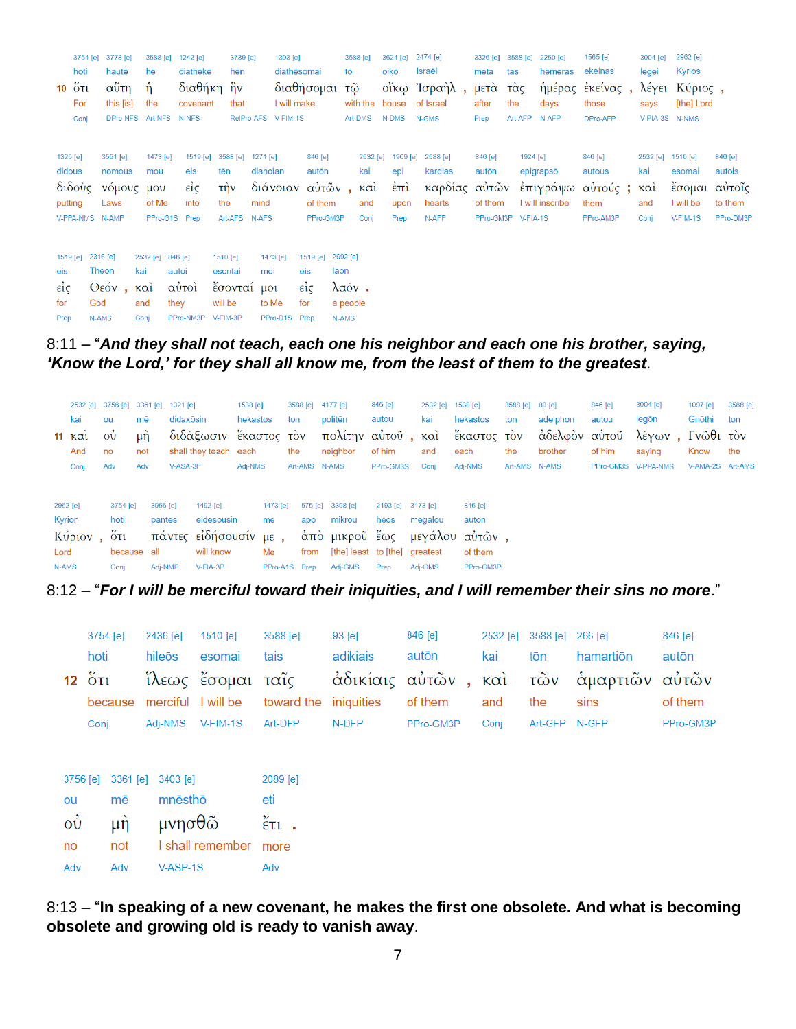|                                          | hoti<br><b>10 Ότι</b><br>For<br>Conj | 3754 [e] 3778 [e]<br>hautē<br>αύτη<br>this [is]             | 3588 [e]<br>hē<br><sup>n</sup><br>the<br>DPro-NFS Art-NFS |                                                | 1242 [e]<br>diathēkē<br>διαθήκη ἣν<br>covenant<br><b>N-NFS</b> | 3739 [e]<br>hēn<br>that                                   | 1303 [e]<br>I will make<br>RelPro-AFS V-FIM-1S | diathēsomai<br>διαθήσομαι τῷ                       | tō                                             | 3588 [e]<br>with the house<br>Art-DMS | 3624 [e]<br>oikō<br>N-DMS                        | 2474 [e]<br>Israēl<br>οἴκω Ἰσραὴλ,<br>of Israel<br>N-GMS | 3326 [e]<br>meta<br>μετά τάς<br>after<br>Prep     | 3588 [e]<br>tas<br>the<br>Art-AFP | 2250 [e]<br>hēmeras<br>ἡμέρας<br>days<br>N-AFP | 1565 [e]<br>ekeinas<br>έκείνας,<br>those<br>DPro-AFP | 3004 [e]<br>legei<br>says | 2962 [e]<br><b>Kyrios</b><br>λέγει Κύριος,<br>[the] Lord<br>V-PIA-3S N-NMS |                                           |
|------------------------------------------|--------------------------------------|-------------------------------------------------------------|-----------------------------------------------------------|------------------------------------------------|----------------------------------------------------------------|-----------------------------------------------------------|------------------------------------------------|----------------------------------------------------|------------------------------------------------|---------------------------------------|--------------------------------------------------|----------------------------------------------------------|---------------------------------------------------|-----------------------------------|------------------------------------------------|------------------------------------------------------|---------------------------|----------------------------------------------------------------------------|-------------------------------------------|
| 1325 [e]<br>didous                       | διδούς<br>putting                    | 3551 [e]<br>nomous<br>νόμους μου<br>Laws<br>V-PPA-NMS N-AMP | 1473 [e]<br>mou<br>of Me                                  | PPro-G1S Prep                                  | 1519 [e]<br>eis<br>είς<br>into                                 | 3588 [e]<br>tēn<br>τήν<br>the<br>Art-AFS N-AFS            | 1271 [e]<br>dianoian<br>διάνοιαν<br>mind       | 846 [e]<br>autōn<br>αὐτῶν,<br>of them<br>PPro-GM3P |                                                | 2532 [e]<br>kai<br>καὶ<br>and<br>Coni | 1909 [e]<br>epi<br>$\epsilon$ πι<br>upon<br>Prep | 2588 [e]<br>kardias<br>καρδίας αὐτῶν<br>hearts<br>N-AFP  | 846 [e]<br>autōn<br>of them<br>PPro-GM3P V-FIA-1S | 1924 [e]                          | epigrapsō<br>ἐπιγράψω<br>I will inscribe       | 846 [e]<br>autous<br>αὐτούς ;<br>them<br>PPro-AM3P   | kai<br>καί<br>and<br>Coni | 2532 [e] 1510 [e]<br>esomai<br>έσομαι αύτοις<br>I will be<br>V-FIM-1S      | 846 [e]<br>autois<br>to them<br>PPro-DM3P |
| eis<br>$\epsilon i \zeta$<br>for<br>Prep | 1519 [e]                             | 2316 [e]<br>Theon<br>Θεόν, και<br>God<br>N-AMS              | 2532 [e]<br>kai<br>and<br>Conj                            | 846 [e]<br>autoi<br>αυτοί<br>they<br>PPro-NM3P |                                                                | 1510 [e]<br>esontai<br>έσονταί μοι<br>will be<br>V-FIM-3P | 1473 [e]<br>moi<br>to Me<br>PPro-D1S Prep      | 1519 [e]<br>eis<br>$\epsilon i \epsilon$<br>for    | 2992 [e]<br>laon<br>λαόν.<br>a people<br>N-AMS |                                       |                                                  |                                                          |                                                   |                                   |                                                |                                                      |                           |                                                                            |                                           |

8:11 – "*And they shall not teach, each one his neighbor and each one his brother, saying, 'Know the Lord,' for they shall all know me, from the least of them to the greatest*.

|               | 2532 [e] 3756 [e] 3361 [e] 1321 [e]<br>kai<br>$11 \times \alpha$<br>And<br>Conj | ou<br>$\vec{\omega}$<br>no<br>Adv | mē<br>$\mu$ n<br>not<br>Adv | didaxosin<br>V-ASA-3P         | διδάξωσιν έκαστος τον<br>shall they teach each                           | 1538 [e]<br>hekastos<br>Adj-NMS |                                       | 3588 [e] 4177 [e]<br>ton<br>the<br>Art-AMS N-AMS | politēn<br>πολίτην αὐτοῦ, καὶ<br>neighbor                                                | 846 [e]<br>autou<br>of him<br>PPro-GM3S | 2532 [e] 1538 [e]<br>kai<br>and<br>Conj | hekastos<br>έκαστος τὸν<br>each<br>Adj-NMS                 | 3588 [e]<br>ton<br>the<br>Art-AMS N-AMS | $80$ [e]<br>adelphon<br>άδελφὸν αὐτοῦ<br>brother | 846 [e]<br>autou<br>of him | 3004 [e]<br>legōn<br>λέγων, Γνῶθι τὸν<br>saving<br>PPro-GM3S V-PPA-NMS | 1097 [e]<br>Gnōthi<br>Know<br>V-AMA-2S Art-AMS | 3588 [e]<br>ton<br>the |
|---------------|---------------------------------------------------------------------------------|-----------------------------------|-----------------------------|-------------------------------|--------------------------------------------------------------------------|---------------------------------|---------------------------------------|--------------------------------------------------|------------------------------------------------------------------------------------------|-----------------------------------------|-----------------------------------------|------------------------------------------------------------|-----------------------------------------|--------------------------------------------------|----------------------------|------------------------------------------------------------------------|------------------------------------------------|------------------------|
| Lord<br>N-AMS | 2962 [e]<br>Kyrion<br>Κύριον                                                    | 3754 [e]<br>hoti<br>ὄτι<br>Conj   | because all                 | 3956 [e]<br>pantes<br>Adj-NMP | 1492 [e]<br>eidēsousin<br>πάντες είδήσουσίν με,<br>will know<br>V-FIA-3P |                                 | 1473 [e]<br>me<br>Me<br>PPro-A1S Prep | apo<br>from                                      | 575 [e] 3398 [e]<br>mikrou<br>άπὸ μικροῦ ἕως<br>[the] least to [the] greatest<br>Adj-GMS | 2193 [e]<br>heōs<br>Prep                | 3173 [e]<br>megalou<br>Adj-GMS          | 846 [e]<br>autōn<br>μεγάλου αυτών,<br>of them<br>PPro-GM3P |                                         |                                                  |                            |                                                                        |                                                |                        |

8:12 – "*For I will be merciful toward their iniquities, and I will remember their sins no more*."

|                | 3754 [e]<br>hoti             |          | 1510 [e]<br>2436 [e] |                   | 3588 [e]       | 93 [e]     | 846 [e]             | 2532 [e] | 3588 [e] 266 [e] |           | 846 [e]   |  |
|----------------|------------------------------|----------|----------------------|-------------------|----------------|------------|---------------------|----------|------------------|-----------|-----------|--|
|                |                              |          | hileōs               | esomai            | tais           | adikiais   | autōn               | kai      | tōn              | hamartion | autōn     |  |
|                | $12\,$ $\text{O}\,\text{T1}$ |          |                      | ίλεως έσομαι ταΐς |                |            | άδικίαις αύτῶν, καὶ |          | τῶν              | αμαρτιῶν  | αὐτῶν     |  |
|                | because                      |          | merciful             | I will be         | toward the     | iniquities | of them             | and      | the              | sins      | of them   |  |
|                | Conj                         |          | Adj-NMS              | V-FIM-1S          | Art-DFP        | N-DFP      | PPro-GM3P           | Conj     | Art-GFP N-GFP    |           | PPro-GM3P |  |
|                |                              |          |                      |                   |                |            |                     |          |                  |           |           |  |
|                |                              |          |                      |                   |                |            |                     |          |                  |           |           |  |
| 3756 [e]       |                              | 3361 [e] | 3403 [e]             |                   | 2089 [e]       |            |                     |          |                  |           |           |  |
| ou             | mē                           |          | mnēsthō              |                   | eti            |            |                     |          |                  |           |           |  |
| $\vec{\omega}$ |                              | μὴ       | μνησ $\theta$ ῶ      |                   | $\epsilon$ τι. |            |                     |          |                  |           |           |  |
| no             |                              | not      |                      | I shall remember  | more           |            |                     |          |                  |           |           |  |
| Adv            |                              | Adv      | V-ASP-1S             |                   | Adv            |            |                     |          |                  |           |           |  |

8:13 – "**In speaking of a new covenant, he makes the first one obsolete. And what is becoming obsolete and growing old is ready to vanish away**.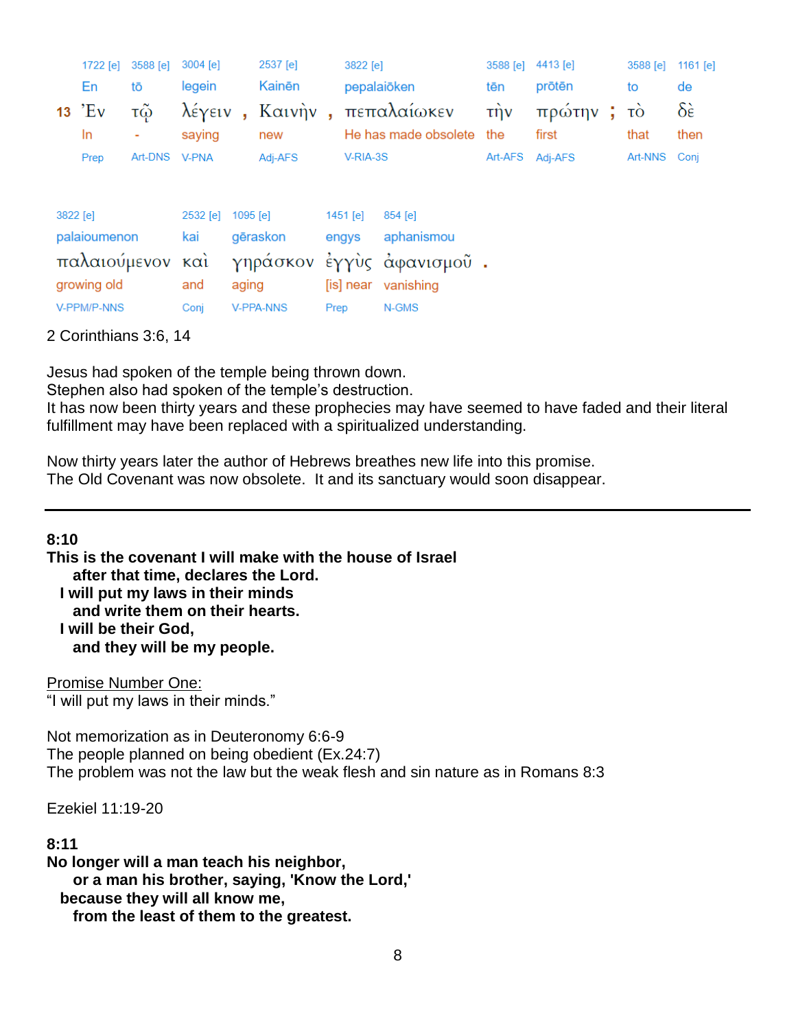|                  | 1722 [e]  | 3588 [e] | 3004 [e]     |                         | 2537 [e]         |                           | 3822 [e]<br>pepalaiōken |                      | 3588 [e]           | 4413 [e]<br>prōtēn |   | 3588 [e]     | 1161 $[el]$       |
|------------------|-----------|----------|--------------|-------------------------|------------------|---------------------------|-------------------------|----------------------|--------------------|--------------------|---|--------------|-------------------|
|                  | En        | tō       | legein       |                         | Kainēn           |                           |                         |                      | tēn                |                    |   | to           | de                |
|                  | $13$ $EV$ | τῷ       | λέγειν       | $\overline{\mathbf{a}}$ | Καινὴν           | ä,                        |                         | πεπαλαίωκεν          | $\vec{\mathsf{r}}$ | πρώτην             | ÷ | τò           | $\delta \epsilon$ |
|                  | In.       | ۰        | saying       |                         | new              |                           |                         | He has made obsolete | the                | first              |   | that         | then              |
|                  | Prep      | Art-DNS  | <b>V-PNA</b> |                         | Adj-AFS          |                           | V-RIA-3S                |                      | Art-AFS            | Adj-AFS            |   | Art-NNS Conj |                   |
| 3822 [e]         |           |          | 2532 [e]     | 1095 [e]                |                  |                           | $1451$ [e]              | 854 [e]              |                    |                    |   |              |                   |
| palaioumenon     |           |          | kai          | gēraskon                |                  |                           | engys                   | aphanismou           |                    |                    |   |              |                   |
| παλαιούμενον και |           |          |              |                         |                  | γηράσκον έγγυς άφανισμού. |                         |                      |                    |                    |   |              |                   |
| growing old      |           |          | and          | aging                   |                  |                           | [is] near               | vanishing            |                    |                    |   |              |                   |
| V-PPM/P-NNS      |           |          | Coni         |                         | <b>V-PPA-NNS</b> | Prep                      |                         | N-GMS                |                    |                    |   |              |                   |

#### 2 Corinthians 3:6, 14

Jesus had spoken of the temple being thrown down.

Stephen also had spoken of the temple's destruction.

It has now been thirty years and these prophecies may have seemed to have faded and their literal fulfillment may have been replaced with a spiritualized understanding.

Now thirty years later the author of Hebrews breathes new life into this promise. The Old Covenant was now obsolete. It and its sanctuary would soon disappear.

## **8:10**

**This is the covenant I will make with the house of Israel after that time, declares the Lord. I will put my laws in their minds and write them on their hearts. I will be their God, and they will be my people.**

Promise Number One: "I will put my laws in their minds."

Not memorization as in Deuteronomy 6:6-9 The people planned on being obedient (Ex.24:7) The problem was not the law but the weak flesh and sin nature as in Romans 8:3

Ezekiel 11:19-20

#### **8:11**

**No longer will a man teach his neighbor, or a man his brother, saying, 'Know the Lord,' because they will all know me, from the least of them to the greatest.**